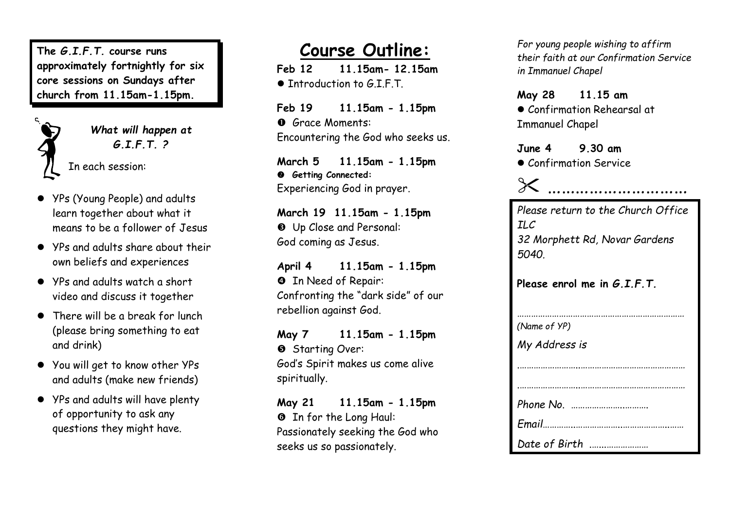**The** *G.I.F.T.* **course runs approximately fortnightly for six core sessions on Sunday s after church from 11.15am -1.15pm .**



*What will happen at G.I.F.T. ?*

In each session :

- YPs (Young People) and adults learn together about what it means to be a follower of Jesus
- YPs and adults share about their own beliefs and experiences
- YPs and adults watch a short video and discuss it together
- Ther e will be a break for lunch (please bring something to eat and drink)
- You will get to know other YPs and adults (make new friends)
- YPs and adults will have plenty of opportunity to ask any questions they might have.

## **Course Outline :**

**Feb 12 11.15am - 12.15a m** ● Tntroduction to G.I.F.T.

**Feb 19 11.15am - 1.15pm O** Grace Moments: Encountering the God who seeks us .

**March 5 11.15am - 1.15pm Getting Connected :** Experiencing God in prayer .

**March 19 11.15am - 1.15pm** Up Close and Personal : God coming as Jesus .

**April 4 11.15am - 1.15pm 9** In Need of Repair: Confronting the "dark side " of our rebellion against God.

**May 7 11.15am - 1.15pm 6** Starting Over: God's Spirit makes us come alive spiritually.

**May 21 11.15am - 1.15pm O** In for the Long Haul: Passionately seeking the God who seeks us so passionately.

*For young people wishing to affirm their faith at our Confirmation Service in Immanuel Chapel*

**May 28 1 1.15 a m** Confirmation Rehearsal at Immanuel Chapel

**June 4 9.30 am**

Confirmation Service



| Please return to the Church Office |
|------------------------------------|
| <b>ILC</b>                         |
| 32 Morphett Rd, Novar Gardens      |
| 5040.                              |
|                                    |
| Please enrol me in $G.I.F.T.$      |
|                                    |
|                                    |

| (Name of YP)  |
|---------------|
| My Address is |
|               |
|               |
|               |
|               |
|               |
| Date of Birth |